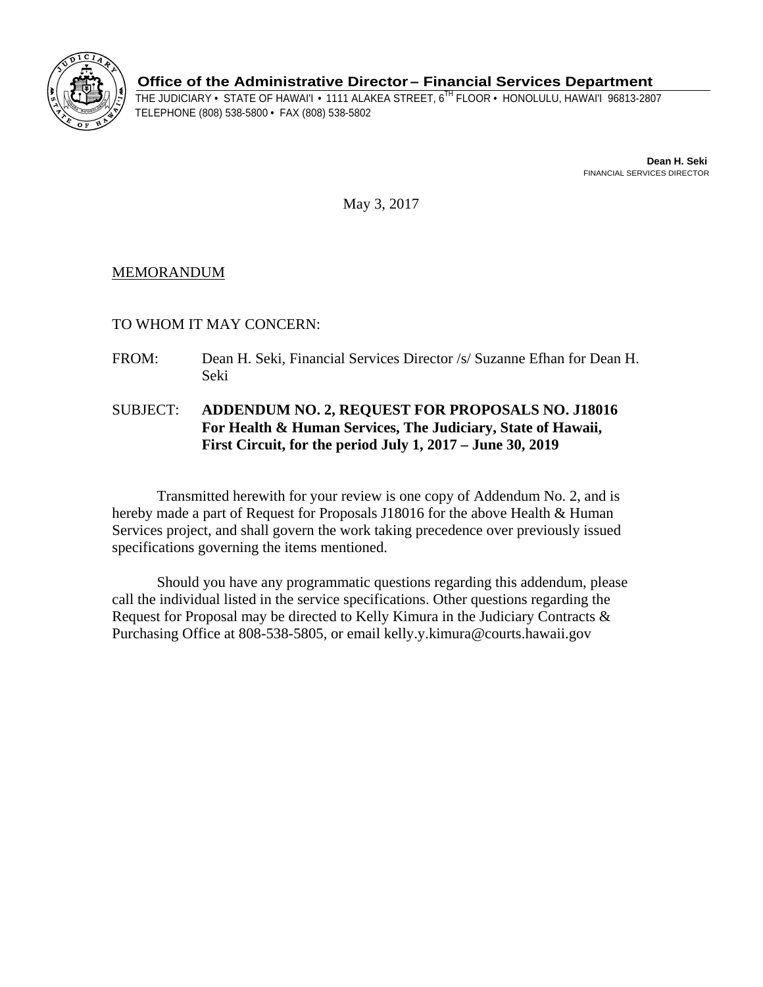

**Office of the Administrative Director– Financial Services Department** 

THE JUDICIARY • STATE OF HAWAI'I • 1111 ALAKEA STREET, 6<sup>TH</sup> FLOOR • HONOLULU, HAWAI'I 96813-2807<br>TELEPHONE (808) 538-5800 • FAX (808) 538-5802

**Dean H. Seki**  FINANCIAL SERVICES DIRECTOR

May 3, 2017

## MEMORANDUM

TO WHOM IT MAY CONCERN:

- FROM: Dean H. Seki, Financial Services Director /s/ Suzanne Efhan for Dean H. Seki
- SUBJECT: **ADDENDUM NO. 2, REQUEST FOR PROPOSALS NO. J18016 For Health & Human Services, The Judiciary, State of Hawaii, First Circuit, for the period July 1, 2017 – June 30, 2019**

Transmitted herewith for your review is one copy of Addendum No. 2, and is hereby made a part of Request for Proposals J18016 for the above Health & Human Services project, and shall govern the work taking precedence over previously issued specifications governing the items mentioned.

Should you have any programmatic questions regarding this addendum, please call the individual listed in the service specifications. Other questions regarding the Request for Proposal may be directed to Kelly Kimura in the Judiciary Contracts & Purchasing Office at 808-538-5805, or email kelly.y.kimura@courts.hawaii.gov